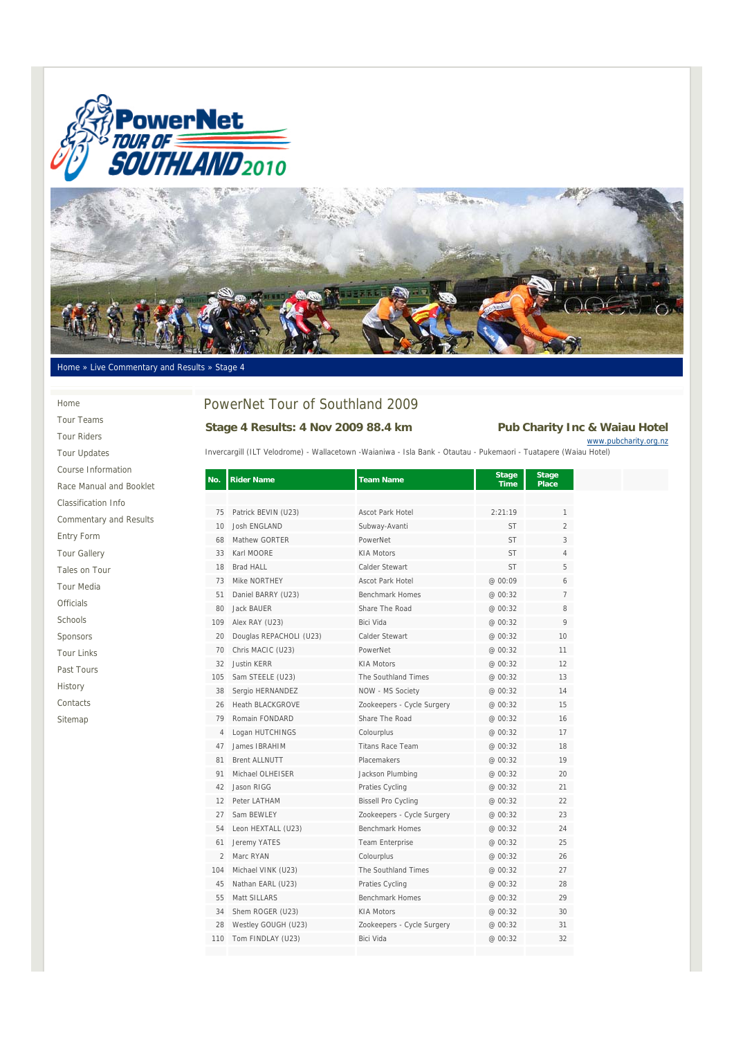



#### Home » Live Commentary and Results » Stage 4

#### Home

Tour Teams Tour Riders Tour Updates Course Information Race Manual and Booklet Classification Info Commentary and Results Entry Form Tour Gallery Tales on Tour Tour Media Officials Schools Sponsors Tour Links Past Tours History Contacts Sitemap

# PowerNet Tour of Southland 2009

## **Stage 4 Results: 4 Nov 2009 88.4 km Pub Charity Inc & Waiau Hotel**

www.pubcharity.org.nz

Invercargill (ILT Velodrome) - Wallacetown -Waianiwa - Isla Bank - Otautau - Pukemaori - Tuatapere (Waiau Hotel)

| No.            | <b>Rider Name</b>       | <b>Team Name</b>           | <b>Stage</b><br>Time | <b>Stage</b><br><b>Place</b> |
|----------------|-------------------------|----------------------------|----------------------|------------------------------|
|                |                         |                            |                      |                              |
| 75             | Patrick BEVIN (U23)     | <b>Ascot Park Hotel</b>    | 2:21:19              | 1                            |
| 10             | <b>Josh ENGLAND</b>     | Subway-Avanti              | ST                   | $\overline{2}$               |
| 68             | Mathew GORTER           | PowerNet                   | <b>ST</b>            | 3                            |
| 33             | Karl MOORE              | <b>KIA Motors</b>          | ST                   | 4                            |
| 18             | <b>Brad HALL</b>        | Calder Stewart             | <b>ST</b>            | 5                            |
| 73             | Mike NORTHEY            | <b>Ascot Park Hotel</b>    | @ 00:09              | 6                            |
| 51             | Daniel BARRY (U23)      | <b>Benchmark Homes</b>     | @ 00:32              | $\overline{7}$               |
| 80             | Jack BAUER              | Share The Road             | @ 00:32              | 8                            |
| 109            | Alex RAY (U23)          | Bici Vida                  | @ 00:32              | 9                            |
| 20             | Douglas REPACHOLI (U23) | Calder Stewart             | @ 00:32              | 10                           |
| 70             | Chris MACIC (U23)       | PowerNet                   | @ 00:32              | 11                           |
| 32             | <b>Justin KERR</b>      | <b>KIA Motors</b>          | @ 00:32              | 12                           |
| 105            | Sam STEELE (U23)        | The Southland Times        | @ 00:32              | 13                           |
| 38             | Sergio HERNANDEZ        | NOW - MS Society           | @ 00:32              | 14                           |
| 26             | <b>Heath BLACKGROVE</b> | Zookeepers - Cycle Surgery | @ 00:32              | 15                           |
| 79             | Romain FONDARD          | Share The Road             | @ 00:32              | 16                           |
| 4              | Logan HUTCHINGS         | Colourplus                 | @ 00:32              | 17                           |
| 47             | James IBRAHIM           | <b>Titans Race Team</b>    | @ 00:32              | 18                           |
| 81             | <b>Brent ALLNUTT</b>    | Placemakers                | @ 00:32              | 19                           |
| 91             | Michael OLHEISER        | Jackson Plumbing           | @ 00:32              | 20                           |
| 42             | Jason RIGG              | Praties Cycling            | @ 00:32              | 21                           |
| 12             | Peter LATHAM            | <b>Bissell Pro Cycling</b> | @ 00:32              | 22                           |
| 27             | Sam BEWLEY              | Zookeepers - Cycle Surgery | @ 00:32              | 23                           |
| 54             | Leon HEXTALL (U23)      | <b>Benchmark Homes</b>     | @ 00:32              | 24                           |
| 61             | Jeremy YATES            | Team Enterprise            | @ 00:32              | 25                           |
| $\overline{2}$ | Marc RYAN               | Colourplus                 | @ 00:32              | 26                           |
| 104            | Michael VINK (U23)      | The Southland Times        | @ 00:32              | 27                           |
| 45             | Nathan EARL (U23)       | Praties Cycling            | @ 00:32              | 28                           |
| 55             | Matt SILLARS            | <b>Benchmark Homes</b>     | @ 00:32              | 29                           |
| 34             | Shem ROGER (U23)        | <b>KIA Motors</b>          | @ 00:32              | 30                           |
| 28             | Westley GOUGH (U23)     | Zookeepers - Cycle Surgery | @ 00:32              | 31                           |
| 110            | Tom FINDLAY (U23)       | Bici Vida                  | @ 00:32              | 32                           |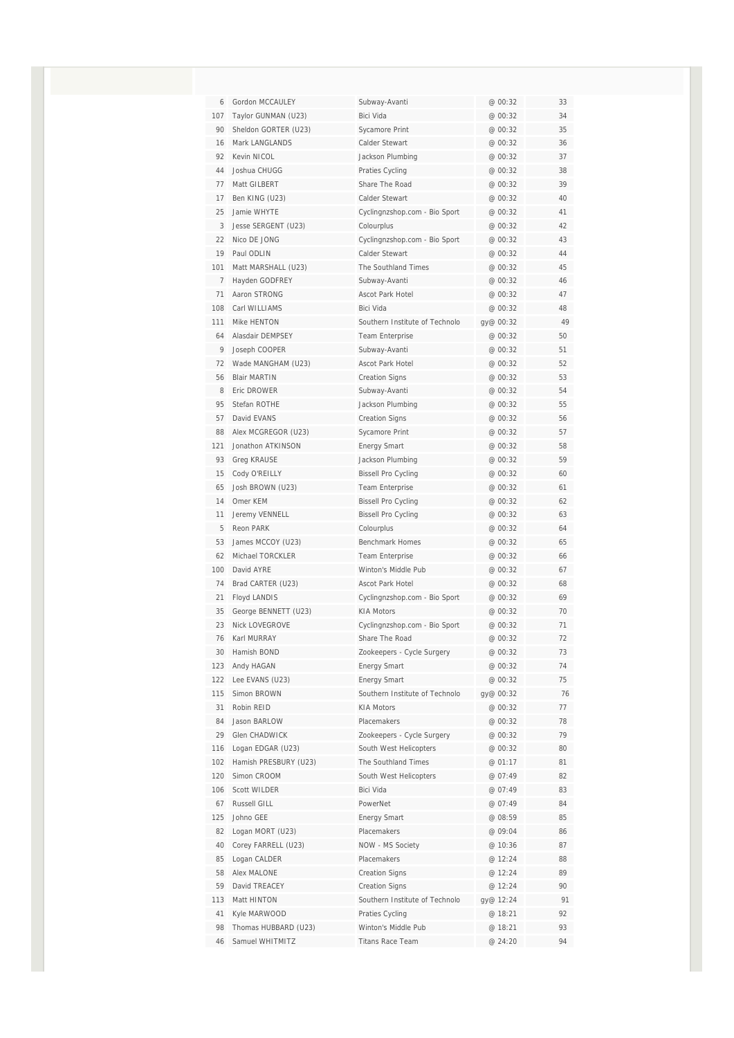| 6              | Gordon MCCAULEY       | Subway-Avanti                  | @ 00:32   | 33 |
|----------------|-----------------------|--------------------------------|-----------|----|
| 107            | Taylor GUNMAN (U23)   | Bici Vida                      | @ 00:32   | 34 |
| 90             | Sheldon GORTER (U23)  | Sycamore Print                 | @ 00:32   | 35 |
| 16             | Mark LANGLANDS        | Calder Stewart                 | @ 00:32   | 36 |
| 92             | Kevin NICOL           | Jackson Plumbing               | @ 00:32   | 37 |
| 44             | Joshua CHUGG          | Praties Cycling                | @ 00:32   | 38 |
| 77             | Matt GILBERT          | Share The Road                 | @ 00:32   | 39 |
| 17             | Ben KING (U23)        | Calder Stewart                 | @ 00:32   | 40 |
| 25             | Jamie WHYTE           | Cyclingnzshop.com - Bio Sport  | @ 00:32   | 41 |
| 3              | Jesse SERGENT (U23)   | Colourplus                     | @ 00:32   | 42 |
| 22             | Nico DE JONG          | Cyclingnzshop.com - Bio Sport  | @ 00:32   | 43 |
| 19             | Paul ODLIN            | Calder Stewart                 | @ 00:32   | 44 |
| 101            | Matt MARSHALL (U23)   | The Southland Times            | @ 00:32   | 45 |
| $\overline{7}$ | Hayden GODFREY        | Subway-Avanti                  | @ 00:32   | 46 |
| 71             | Aaron STRONG          | Ascot Park Hotel               | @ 00:32   | 47 |
| 108            | Carl WILLIAMS         | Bici Vida                      | @ 00:32   | 48 |
| 111            | Mike HENTON           | Southern Institute of Technolo | gy@ 00:32 | 49 |
| 64             | Alasdair DEMPSEY      | <b>Team Enterprise</b>         | @ 00:32   | 50 |
| 9              | Joseph COOPER         | Subway-Avanti                  | @ 00:32   | 51 |
| 72             | Wade MANGHAM (U23)    | Ascot Park Hotel               | @ 00:32   | 52 |
| 56             | <b>Blair MARTIN</b>   | <b>Creation Signs</b>          | @ 00:32   | 53 |
| 8              | Eric DROWER           | Subway-Avanti                  | @ 00:32   | 54 |
| 95             | Stefan ROTHE          | Jackson Plumbing               | @ 00:32   | 55 |
| 57             | David EVANS           | <b>Creation Signs</b>          | @ 00:32   | 56 |
| 88             | Alex MCGREGOR (U23)   | Sycamore Print                 | @ 00:32   | 57 |
| 121            | Jonathon ATKINSON     | <b>Energy Smart</b>            | @ 00:32   | 58 |
| 93             | <b>Greg KRAUSE</b>    | Jackson Plumbing               | @ 00:32   | 59 |
| 15             | Cody O'REILLY         | <b>Bissell Pro Cycling</b>     | @ 00:32   | 60 |
| 65             | Josh BROWN (U23)      | Team Enterprise                | @ 00:32   | 61 |
| 14             | Omer KEM              | <b>Bissell Pro Cycling</b>     | @ 00:32   | 62 |
| 11             | Jeremy VENNELL        | <b>Bissell Pro Cycling</b>     | @ 00:32   | 63 |
| 5              | Reon PARK             | Colourplus                     | @ 00:32   | 64 |
| 53             | James MCCOY (U23)     | <b>Benchmark Homes</b>         | @ 00:32   | 65 |
| 62             | Michael TORCKLER      | <b>Team Enterprise</b>         | @ 00:32   | 66 |
| 100            | David AYRE            | Winton's Middle Pub            | @ 00:32   | 67 |
| 74             | Brad CARTER (U23)     | Ascot Park Hotel               | @ 00:32   | 68 |
| 21             | <b>Floyd LANDIS</b>   | Cyclingnzshop.com - Bio Sport  | @ 00:32   | 69 |
| 35             | George BENNETT (U23)  | <b>KIA Motors</b>              | @ 00:32   | 70 |
| 23             | <b>Nick LOVEGROVE</b> | Cyclingnzshop.com - Bio Sport  | @ 00:32   | 71 |
| 76             | Karl MURRAY           | Share The Road                 | @ 00:32   | 72 |
| 30             | Hamish BOND           | Zookeepers - Cycle Surgery     | @ 00:32   | 73 |
| 123            | Andy HAGAN            | <b>Energy Smart</b>            | @ 00:32   | 74 |
| 122            | Lee EVANS (U23)       | <b>Energy Smart</b>            | @ 00:32   | 75 |
| 115            | Simon BROWN           | Southern Institute of Technolo | gy@ 00:32 | 76 |
| 31             | Robin REID            | <b>KIA Motors</b>              | @ 00:32   | 77 |
| 84             | Jason BARLOW          | Placemakers                    | @ 00:32   | 78 |
| 29             | Glen CHADWICK         | Zookeepers - Cycle Surgery     | @ 00:32   | 79 |
| 116            | Logan EDGAR (U23)     | South West Helicopters         | @ 00:32   | 80 |
| 102            | Hamish PRESBURY (U23) | The Southland Times            | @ 01:17   | 81 |
| 120            | Simon CROOM           | South West Helicopters         | @ 07:49   | 82 |
| 106            | Scott WILDER          | Bici Vida                      | @ 07:49   | 83 |
| 67             | Russell GILL          | PowerNet                       | @ 07:49   | 84 |
| 125            | Johno GEE             | <b>Energy Smart</b>            | @ 08:59   | 85 |
| 82             | Logan MORT (U23)      | Placemakers                    | @ 09:04   | 86 |
| 40             | Corey FARRELL (U23)   | NOW - MS Society               | @ 10:36   | 87 |
| 85             | Logan CALDER          | Placemakers                    | @ 12:24   | 88 |
| 58             | Alex MALONE           | <b>Creation Signs</b>          | @ 12:24   | 89 |
| 59             | David TREACEY         | <b>Creation Signs</b>          | @ 12:24   | 90 |
| 113            | Matt HINTON           | Southern Institute of Technolo | gy@ 12:24 | 91 |
| 41             | Kyle MARWOOD          | Praties Cycling                | @ 18:21   | 92 |
| 98             | Thomas HUBBARD (U23)  | Winton's Middle Pub            | @ 18:21   | 93 |
| 46             | Samuel WHITMITZ       | Titans Race Team               | @ 24:20   | 94 |
|                |                       |                                |           |    |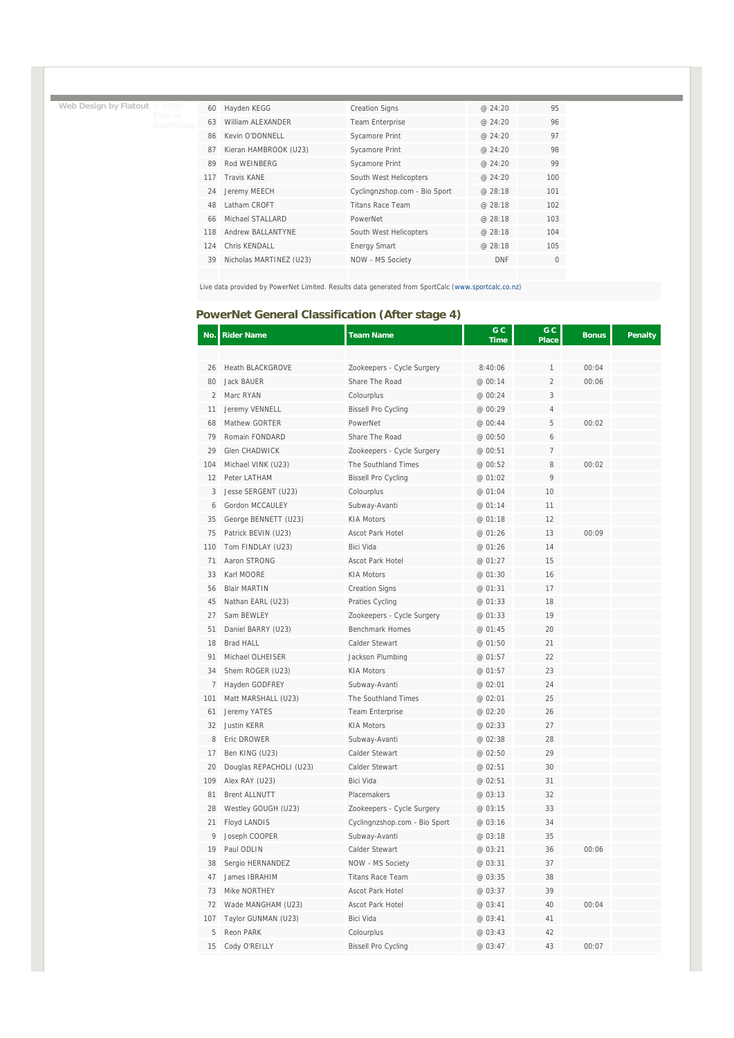**Web Design by Flatout © 2009** 

| Hayden KEGG<br>William ALEXANDER | <b>Creation Signs</b><br>Team Enterprise | @24:20<br>@24:20 | 95       |
|----------------------------------|------------------------------------------|------------------|----------|
|                                  |                                          |                  |          |
|                                  |                                          |                  | 96       |
|                                  | Sycamore Print                           | @24:20           | 97       |
| Kieran HAMBROOK (U23)            | Sycamore Print                           | @ 24:20          | 98       |
| Rod WFINBERG                     | Sycamore Print                           | @ 24:20          | 99       |
| <b>Travis KANF</b>               | South West Helicopters                   | @24:20           | 100      |
| Jeremy MEECH                     | Cyclingnzshop.com - Bio Sport            | @ 28:18          | 101      |
| Latham CROFT                     | <b>Titans Race Team</b>                  | @ 28:18          | 102      |
| Michael STALLARD                 | PowerNet                                 | @ 28:18          | 103      |
| Andrew BALLANTYNE                | South West Helicopters                   | @ 28:18          | 104      |
| Chris KFNDALL                    | <b>Energy Smart</b>                      | @ 28:18          | 105      |
| Nicholas MARTINEZ (U23)          | NOW - MS Society                         | <b>DNF</b>       | $\Omega$ |
|                                  | Kevin O'DONNELL                          |                  |          |

Live data provided by PowerNet Limited. Results data generated from SportCalc (www.sportcalc.co.nz)

### **PowerNet General Classification (After stage 4)**

| No.            | <b>Rider Name</b>       | <b>Team Name</b>              | G <sub>C</sub><br><b>Time</b> | G C<br><b>Place</b> | <b>Bonus</b> | <b>Penalty</b> |
|----------------|-------------------------|-------------------------------|-------------------------------|---------------------|--------------|----------------|
|                |                         |                               |                               |                     |              |                |
| 26             | <b>Heath BLACKGROVE</b> | Zookeepers - Cycle Surgery    | 8:40:06                       |                     | 00:04        |                |
| 80             | Jack BAUER              | Share The Road                | @ 00:14                       | $\overline{2}$      | 00:06        |                |
| $\overline{2}$ | Marc RYAN               | Colourplus                    | @ 00:24                       | 3                   |              |                |
| 11             | Jeremy VENNELL          | <b>Bissell Pro Cycling</b>    | @ 00:29                       | 4                   |              |                |
| 68             | Mathew GORTER           | PowerNet                      | @ 00:44                       | 5                   | 00:02        |                |
| 79             | Romain FONDARD          | Share The Road                | @ 00:50                       | 6                   |              |                |
| 29             | <b>Glen CHADWICK</b>    | Zookeepers - Cycle Surgery    | @ 00:51                       | $\overline{7}$      |              |                |
| 104            | Michael VINK (U23)      | The Southland Times           | @ 00:52                       | 8                   | 00:02        |                |
| 12             | Peter LATHAM            | <b>Bissell Pro Cycling</b>    | @ 01:02                       | 9                   |              |                |
| 3              | Jesse SERGENT (U23)     | Colourplus                    | @ 01:04                       | 10                  |              |                |
| 6              | Gordon MCCAULEY         | Subway-Avanti                 | @ 01:14                       | 11                  |              |                |
| 35             | George BENNETT (U23)    | <b>KIA Motors</b>             | @ 01:18                       | 12                  |              |                |
| 75             | Patrick BEVIN (U23)     | <b>Ascot Park Hotel</b>       | @ 01:26                       | 13                  | 00:09        |                |
| 110            | Tom FINDLAY (U23)       | <b>Bici Vida</b>              | @ 01:26                       | 14                  |              |                |
| 71             | Aaron STRONG            | <b>Ascot Park Hotel</b>       | @ 01:27                       | 15                  |              |                |
| 33             | Karl MOORE              | <b>KIA Motors</b>             | @ 01:30                       | 16                  |              |                |
| 56             | <b>Blair MARTIN</b>     | <b>Creation Signs</b>         | @ 01:31                       | 17                  |              |                |
| 45             | Nathan EARL (U23)       | Praties Cycling               | @ 01:33                       | 18                  |              |                |
| 27             | Sam BEWLEY              | Zookeepers - Cycle Surgery    | @ 01:33                       | 19                  |              |                |
| 51             | Daniel BARRY (U23)      | <b>Benchmark Homes</b>        | @ 01:45                       | 20                  |              |                |
| 18             | <b>Brad HALL</b>        | Calder Stewart                | @ 01:50                       | 21                  |              |                |
| 91             | Michael OLHEISER        | Jackson Plumbing              | @ 01:57                       | 22                  |              |                |
| 34             | Shem ROGER (U23)        | <b>KIA Motors</b>             | @ 01:57                       | 23                  |              |                |
| $\overline{7}$ | Hayden GODFREY          | Subway-Avanti                 | @ 02:01                       | 24                  |              |                |
| 101            | Matt MARSHALL (U23)     | The Southland Times           | @ 02:01                       | 25                  |              |                |
| 61             | Jeremy YATES            | Team Enterprise               | @ 02:20                       | 26                  |              |                |
| 32             | <b>Justin KERR</b>      | <b>KIA Motors</b>             | @ 02:33                       | 27                  |              |                |
| 8              | Eric DROWER             | Subway-Avanti                 | @ 02:38                       | 28                  |              |                |
| 17             | Ben KING (U23)          | Calder Stewart                | @ 02:50                       | 29                  |              |                |
| 20             | Douglas REPACHOLI (U23) | Calder Stewart                | @ 02:51                       | 30                  |              |                |
| 109            | Alex RAY (U23)          | <b>Bici Vida</b>              | @ 02:51                       | 31                  |              |                |
| 81             | <b>Brent ALLNUTT</b>    | Placemakers                   | @ 03:13                       | 32                  |              |                |
| 28             | Westley GOUGH (U23)     | Zookeepers - Cycle Surgery    | @ 03:15                       | 33                  |              |                |
| 21             | Floyd LANDIS            | Cyclingnzshop.com - Bio Sport | @ 03:16                       | 34                  |              |                |
| 9              | Joseph COOPER           | Subway-Avanti                 | @ 03:18                       | 35                  |              |                |
| 19             | Paul ODLIN              | Calder Stewart                | @ 03:21                       | 36                  | 00:06        |                |
| 38             | Sergio HERNANDEZ        | NOW - MS Society              | @ 03:31                       | 37                  |              |                |
| 47             | James IBRAHIM           | <b>Titans Race Team</b>       | @ 03:35                       | 38                  |              |                |
| 73             | Mike NORTHEY            | <b>Ascot Park Hotel</b>       | @ 03:37                       | 39                  |              |                |
| 72             | Wade MANGHAM (U23)      | <b>Ascot Park Hotel</b>       | @ 03:41                       | 40                  | 00:04        |                |
| 107            | Taylor GUNMAN (U23)     | Bici Vida                     | @ 03:41                       | 41                  |              |                |
| 5              | Reon PARK               | Colourplus                    | @ 03:43                       | 42                  |              |                |
| 15             | Cody O'REILLY           | <b>Bissell Pro Cycling</b>    | @ 03:47                       | 43                  | 00:07        |                |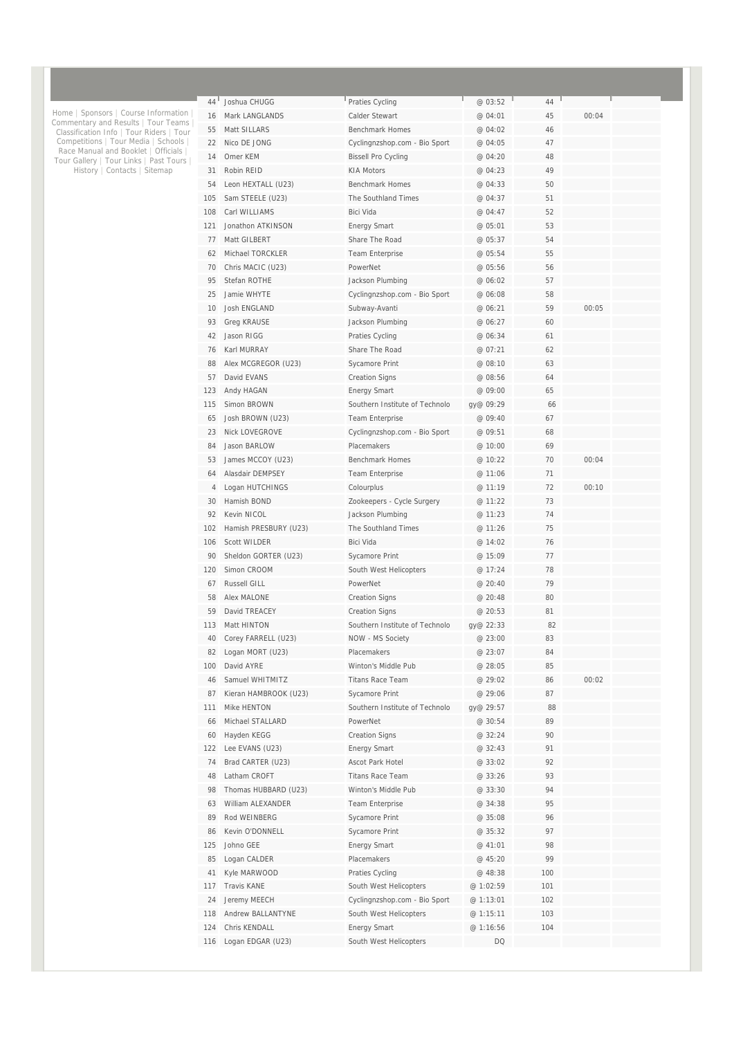| 44  | Joshua CHUGG          | Praties Cycling                | @ 03:52   | 44  |       |  |
|-----|-----------------------|--------------------------------|-----------|-----|-------|--|
| 16  | Mark LANGLANDS        | Calder Stewart                 | @ 04:01   | 45  | 00:04 |  |
| 55  | Matt SILLARS          | <b>Benchmark Homes</b>         | @ 04:02   | 46  |       |  |
| 22  | Nico DE JONG          | Cyclingnzshop.com - Bio Sport  | @ 04:05   | 47  |       |  |
| 14  | Omer KEM              | <b>Bissell Pro Cycling</b>     | @ 04:20   | 48  |       |  |
| 31  | Robin REID            | <b>KIA Motors</b>              | @ 04:23   | 49  |       |  |
| 54  | Leon HEXTALL (U23)    | <b>Benchmark Homes</b>         | @ 04:33   | 50  |       |  |
| 105 | Sam STEELE (U23)      | The Southland Times            | @ 04:37   | 51  |       |  |
| 108 | Carl WILLIAMS         | <b>Bici Vida</b>               | @ 04:47   | 52  |       |  |
| 121 | Jonathon ATKINSON     | <b>Energy Smart</b>            | @ 05:01   | 53  |       |  |
| 77  | Matt GILBERT          | Share The Road                 | @ 05:37   | 54  |       |  |
| 62  | Michael TORCKLER      | Team Enterprise                | @ 05:54   | 55  |       |  |
| 70  | Chris MACIC (U23)     | PowerNet                       | @ 05:56   | 56  |       |  |
| 95  | Stefan ROTHE          | Jackson Plumbing               | @ 06:02   | 57  |       |  |
| 25  | Jamie WHYTE           | Cyclingnzshop.com - Bio Sport  | @ 06:08   | 58  |       |  |
| 10  | Josh ENGLAND          | Subway-Avanti                  | @ 06:21   | 59  | 00:05 |  |
| 93  | <b>Greg KRAUSE</b>    | Jackson Plumbing               | @ 06:27   | 60  |       |  |
| 42  | Jason RIGG            | Praties Cycling                | @ 06:34   | 61  |       |  |
| 76  | Karl MURRAY           | Share The Road                 | @ 07:21   | 62  |       |  |
| 88  | Alex MCGREGOR (U23)   | Sycamore Print                 | @ 08:10   | 63  |       |  |
| 57  | David EVANS           | <b>Creation Signs</b>          | @ 08:56   | 64  |       |  |
| 123 | Andy HAGAN            | <b>Energy Smart</b>            | @ 09:00   | 65  |       |  |
| 115 | Simon BROWN           | Southern Institute of Technolo | gy@ 09:29 | 66  |       |  |
| 65  | Josh BROWN (U23)      | Team Enterprise                | @ 09:40   | 67  |       |  |
| 23  | Nick LOVEGROVE        | Cyclingnzshop.com - Bio Sport  | @ 09:51   | 68  |       |  |
| 84  | Jason BARLOW          | Placemakers                    | @ 10:00   | 69  |       |  |
| 53  | James MCCOY (U23)     | <b>Benchmark Homes</b>         | @ 10:22   | 70  | 00:04 |  |
| 64  | Alasdair DEMPSEY      | Team Enterprise                | @ 11:06   | 71  |       |  |
| 4   | Logan HUTCHINGS       | Colourplus                     | @ 11:19   | 72  | 00:10 |  |
| 30  | Hamish BOND           | Zookeepers - Cycle Surgery     | @ 11:22   | 73  |       |  |
| 92  | Kevin NICOL           | Jackson Plumbing               | @ 11:23   | 74  |       |  |
| 102 | Hamish PRESBURY (U23) | The Southland Times            | @ 11:26   | 75  |       |  |
| 106 | <b>Scott WILDER</b>   | <b>Bici Vida</b>               | @ 14:02   | 76  |       |  |
| 90  | Sheldon GORTER (U23)  | Sycamore Print                 | @ 15:09   | 77  |       |  |
| 120 | Simon CROOM           | South West Helicopters         | @ 17:24   | 78  |       |  |
| 67  | Russell GILL          | PowerNet                       | @ 20:40   | 79  |       |  |
| 58  | Alex MALONE           | <b>Creation Signs</b>          | @ 20:48   | 80  |       |  |
| 59  | David TREACEY         | <b>Creation Signs</b>          | @ 20:53   | 81  |       |  |
| 113 | Matt HINTON           | Southern Institute of Technolo | gy@ 22:33 | 82  |       |  |
| 40  | Corey FARRELL (U23)   | NOW - MS Society               | @ 23:00   | 83  |       |  |
| 82  | Logan MORT (U23)      | Placemakers                    | @ 23:07   | 84  |       |  |
| 100 | David AYRE            | Winton's Middle Pub            | @ 28:05   | 85  |       |  |
| 46  | Samuel WHITMITZ       | Titans Race Team               | @ 29:02   | 86  | 00:02 |  |
| 87  | Kieran HAMBROOK (U23) | Sycamore Print                 | @ 29:06   | 87  |       |  |
| 111 | Mike HENTON           | Southern Institute of Technolo | gy@ 29:57 | 88  |       |  |
| 66  | Michael STALLARD      | PowerNet                       | @ 30:54   | 89  |       |  |
| 60  | Hayden KEGG           | <b>Creation Signs</b>          | @ 32:24   | 90  |       |  |
| 122 | Lee EVANS (U23)       | <b>Energy Smart</b>            | @ 32:43   | 91  |       |  |
| 74  | Brad CARTER (U23)     | Ascot Park Hotel               | @ 33:02   | 92  |       |  |
| 48  | Latham CROFT          | <b>Titans Race Team</b>        | @ 33:26   | 93  |       |  |
| 98  | Thomas HUBBARD (U23)  | Winton's Middle Pub            | @ 33:30   | 94  |       |  |
| 63  | William ALEXANDER     | Team Enterprise                | @ 34:38   | 95  |       |  |
| 89  | Rod WEINBERG          | Sycamore Print                 | @ 35:08   | 96  |       |  |
| 86  | Kevin O'DONNELL       | Sycamore Print                 | @ 35:32   | 97  |       |  |
| 125 | Johno GEE             | <b>Energy Smart</b>            | @ 41:01   | 98  |       |  |
| 85  | Logan CALDER          | Placemakers                    | @ 45:20   | 99  |       |  |
| 41  | Kyle MARWOOD          | Praties Cycling                | @ 48:38   | 100 |       |  |
| 117 | Travis KANE           | South West Helicopters         | @ 1:02:59 | 101 |       |  |
| 24  | Jeremy MEECH          | Cyclingnzshop.com - Bio Sport  | @ 1:13:01 | 102 |       |  |
| 118 | Andrew BALLANTYNE     | South West Helicopters         | @ 1:15:11 | 103 |       |  |
| 124 | Chris KENDALL         | <b>Energy Smart</b>            | @ 1:16:56 | 104 |       |  |
| 116 | Logan EDGAR (U23)     | South West Helicopters         | <b>DQ</b> |     |       |  |

Home | Sponsors | Course Information |<br>Commentary and Results | Tour Teams |<br>Classification Info | Tour Riders | Tour<br>Competitions | Tour Media | Schools |<br>Race Manual and Booklet | Officials |<br>Tour Gallery | Tour Links |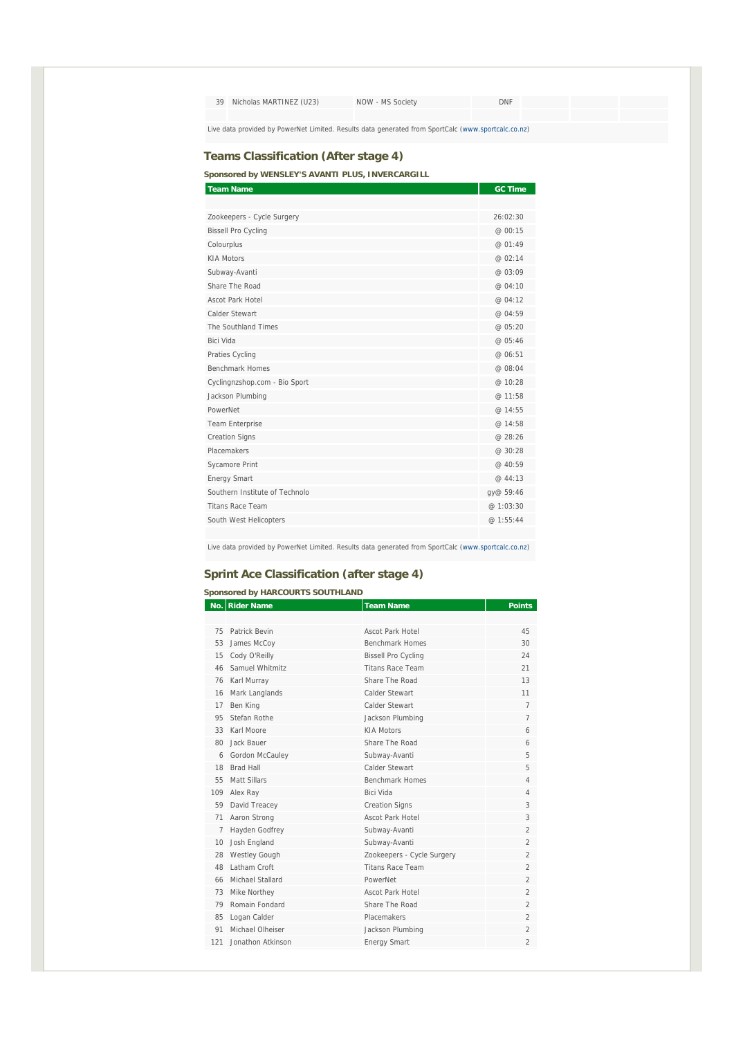| 39                                                                                                  | Nicholas MARTINEZ (U23) | NOW - MS Society | DNF |  |  |  |
|-----------------------------------------------------------------------------------------------------|-------------------------|------------------|-----|--|--|--|
|                                                                                                     |                         |                  |     |  |  |  |
| Live data provided by PowerNet Limited. Results data generated from SportCalc (www.sportcalc.co.nz) |                         |                  |     |  |  |  |

#### **Teams Classification (After stage 4)**

**Sponsored by WENSLEY'S AVANTI PLUS, INVERCARGILL** 

| <b>Team Name</b>               | <b>GC Time</b> |
|--------------------------------|----------------|
|                                |                |
| Zookeepers - Cycle Surgery     | 26:02:30       |
| <b>Bissell Pro Cycling</b>     | @ 00:15        |
| Colourplus                     | @ 01:49        |
| <b>KIA Motors</b>              | @ 02:14        |
| Subway-Avanti                  | @ 03:09        |
| Share The Road                 | @ 04:10        |
| Ascot Park Hotel               | @ 04:12        |
| Calder Stewart                 | @ 04:59        |
| The Southland Times            | @ 05:20        |
| Bici Vida                      | @ 05:46        |
| Praties Cycling                | @ 06:51        |
| <b>Benchmark Homes</b>         | @ 08:04        |
| Cyclingnzshop.com - Bio Sport  | @ 10:28        |
| Jackson Plumbing               | @ 11:58        |
| PowerNet                       | @ 14:55        |
| Team Enterprise                | @ 14:58        |
| <b>Creation Signs</b>          | @ 28:26        |
| Placemakers                    | @ 30:28        |
| Sycamore Print                 | @ 40:59        |
| <b>Energy Smart</b>            | @ 44:13        |
| Southern Institute of Technolo | gy@ 59:46      |
| <b>Titans Race Team</b>        | @ 1:03:30      |
| South West Helicopters         | @ 1:55:44      |
|                                |                |

Live data provided by PowerNet Limited. Results data generated from SportCalc (www.sportcalc.co.nz)

#### **Sprint Ace Classification (after stage 4)**

#### **Sponsored by HARCOURTS SOUTHLAND**

|              | No. Rider Name       | <b>Team Name</b>           | <b>Points</b>            |
|--------------|----------------------|----------------------------|--------------------------|
|              |                      |                            |                          |
| 75           | Patrick Bevin        | Ascot Park Hotel           | 45                       |
| 53           | James McCoy          | <b>Benchmark Homes</b>     | 30                       |
| 15           | Cody O'Reilly        | <b>Bissell Pro Cycling</b> | 24                       |
| 46           | Samuel Whitmitz      | <b>Titans Race Team</b>    | 21                       |
| 76           | Karl Murray          | Share The Road             | 13                       |
| 16           | Mark Langlands       | Calder Stewart             | 11                       |
| 17           | Ben King             | Calder Stewart             | $\overline{7}$           |
| 95           | Stefan Rothe         | Jackson Plumbing           | $\overline{7}$           |
| 33           | Karl Moore           | <b>KIA Motors</b>          | 6                        |
| $80^{\circ}$ | Jack Bauer           | Share The Road             | 6                        |
| 6            | Gordon McCauley      | Subway-Avanti              | 5                        |
| 18           | <b>Brad Hall</b>     | Calder Stewart             | 5                        |
| 55           | Matt Sillars         | <b>Benchmark Homes</b>     | 4                        |
| 109          | Alex Ray             | <b>Bici Vida</b>           | 4                        |
| 59           | David Treacey        | <b>Creation Signs</b>      | 3                        |
| 71           | Aaron Strong         | Ascot Park Hotel           | 3                        |
| 7            | Hayden Godfrey       | Subway-Avanti              | $\mathfrak{D}$           |
| 10           | Josh England         | Subway-Avanti              | $\mathfrak{D}$           |
| 28           | <b>Westley Gough</b> | Zookeepers - Cycle Surgery | $\mathfrak{D}$           |
| 48           | Latham Croft         | <b>Titans Race Team</b>    | $\mathfrak{D}$           |
| 66           | Michael Stallard     | PowerNet                   | $\mathfrak{D}$           |
| 73           | Mike Northey         | Ascot Park Hotel           | $\mathfrak{D}$           |
| 79           | Romain Fondard       | Share The Road             | $\mathfrak{D}$           |
| 85           | Logan Calder         | Placemakers                | $\mathfrak{D}$           |
| 91           | Michael Olheiser     | Jackson Plumbing           | $\overline{2}$           |
| 121          | Jonathon Atkinson    | <b>Energy Smart</b>        | $\overline{\mathcal{L}}$ |